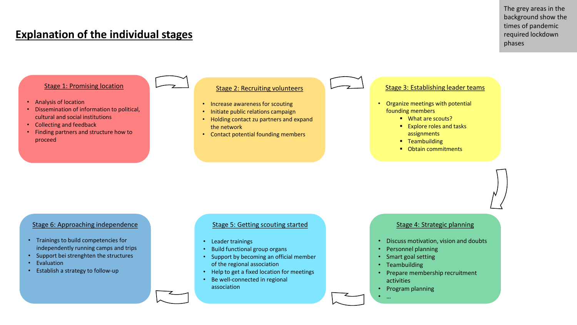## **Explanation of the individual stages**

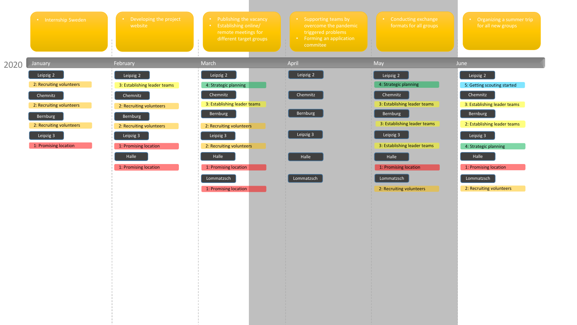|      | • Internship Sweden      | • Developing the project<br>website | • Publishing the vacancy<br>• Establishing online/<br>remote meetings for<br>different target groups | • Supporting teams by<br>overcome the pandemic<br>triggered problems<br>Forming an application<br>commitee | Conducting exchange<br>formats for all groups | • Organizing a summer trip<br>for all new groups |
|------|--------------------------|-------------------------------------|------------------------------------------------------------------------------------------------------|------------------------------------------------------------------------------------------------------------|-----------------------------------------------|--------------------------------------------------|
| 2020 | January                  | February                            | March                                                                                                | April                                                                                                      | May                                           | June                                             |
|      | Leipzig 2                | Leipzig 2                           | Leipzig 2                                                                                            | Leipzig 2                                                                                                  | Leipzig 2                                     | Leipzig 2                                        |
|      | 2: Recruiting volunteers | 3: Establishing leader teams        | 4: Strategic planning                                                                                |                                                                                                            | 4: Strategic planning                         | 5: Getting scouting started                      |
|      | Chemnitz                 | Chemnitz                            | Chemnitz                                                                                             | Chemnitz                                                                                                   | Chemnitz                                      | Chemnitz                                         |
|      | 2: Recruiting volunteers | 2: Recruiting volunteers            | 3: Establishing leader teams                                                                         |                                                                                                            | 3: Establishing leader teams                  | 3: Establishing leader teams                     |
|      | Bernburg                 | Bernburg                            | Bernburg                                                                                             | Bernburg                                                                                                   | Bernburg                                      | Bernburg                                         |
|      | 2: Recruiting volunteers | 2: Recruiting volunteers            | 2: Recruiting volunteers                                                                             |                                                                                                            | 3: Establishing leader teams                  | 2: Establishing leader teams                     |
|      | Leipzig 3                | Leipzig 3                           | Leipzig 3                                                                                            | Leipzig 3                                                                                                  | Leipzig 3                                     | Leipzig 3                                        |
|      | 1: Promising location    | 1: Promising location               | 2: Recruiting volunteers                                                                             |                                                                                                            | 3: Establishing leader teams                  | 4: Strategic planning                            |
|      |                          | Halle                               | Halle                                                                                                | Halle                                                                                                      | Halle                                         | Halle                                            |
|      |                          | 1: Promising location               | 1: Promising location                                                                                |                                                                                                            | 1: Promising location                         | 1: Promising location                            |
|      |                          |                                     | Lommatzsch                                                                                           | Lommatzsch                                                                                                 | Lommatzsch                                    | Lommatzsch                                       |

2: Recruiting volunteers

2: Recruiting volunteers

1: Promising location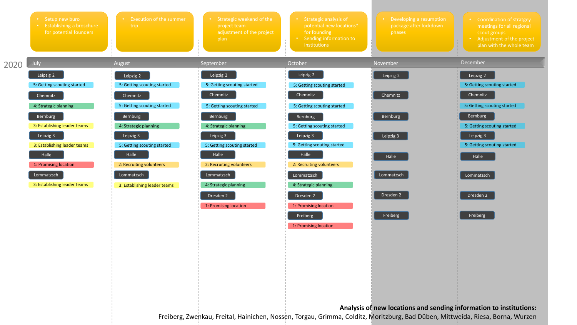|      | • Setup new buro<br><b>Establishing a broschure</b><br>for potential founders | <b>Execution of the summer</b><br>trip | • Strategic weekend of the<br>project team -<br>adjustment of the project<br>plan | • Strategic analysis of<br>potential new locations*<br>for founding<br>• Sending information to<br>institutions | Developing a resumption<br>package after lockdown<br>phases | Coordination of stratgey<br>meetings for all regional<br>scout groups<br>• Adjustment of the project<br>plan with the whole team |
|------|-------------------------------------------------------------------------------|----------------------------------------|-----------------------------------------------------------------------------------|-----------------------------------------------------------------------------------------------------------------|-------------------------------------------------------------|----------------------------------------------------------------------------------------------------------------------------------|
| 2020 | July                                                                          | August                                 | September                                                                         | October                                                                                                         | November                                                    | December                                                                                                                         |
|      | Leipzig 2                                                                     | Leipzig 2                              | Leipzig 2                                                                         | Leipzig 2                                                                                                       | Leipzig 2                                                   | Leipzig 2                                                                                                                        |
|      | 5: Getting scouting started                                                   | 5: Getting scouting started            | 5: Getting scouting started                                                       | 5: Getting scouting started                                                                                     |                                                             | 5: Getting scouting started                                                                                                      |
|      | Chemnitz                                                                      | Chemnitz                               | Chemnitz                                                                          | Chemnitz                                                                                                        | Chemnitz                                                    | Chemnitz                                                                                                                         |
|      | 4: Strategic planning                                                         | 5: Getting scouting started            | 5: Getting scouting started                                                       | 5: Getting scouting started                                                                                     |                                                             | 5: Getting scouting started                                                                                                      |
|      | Bernburg                                                                      | Bernburg                               | Bernburg                                                                          | Bernburg                                                                                                        | Bernburg                                                    | Bernburg                                                                                                                         |
|      | 3: Establishing leader teams                                                  | 4: Strategic planning                  | 4: Strategic planning                                                             | 5: Getting scouting started                                                                                     |                                                             | 5: Getting scouting started                                                                                                      |
|      | Leipzig 3                                                                     | Leipzig 3                              | Leipzig 3                                                                         | Leipzig 3                                                                                                       | Leipzig 3                                                   | Leipzig 3                                                                                                                        |
|      | 3: Establishing leader teams                                                  | 5: Getting scouting started            | 5: Getting scouting started                                                       | 5: Getting scouting started                                                                                     |                                                             | 5: Getting scouting started                                                                                                      |
|      | Halle                                                                         | Halle                                  | Halle                                                                             | Halle                                                                                                           | Halle                                                       | Halle                                                                                                                            |
|      | 1: Promising location                                                         | 2: Recruiting volunteers               | 2: Recruiting volunteers                                                          | 2: Recruiting volunteers                                                                                        |                                                             |                                                                                                                                  |
|      | Lommatzsch                                                                    | Lommatzsch                             | Lommatzsch                                                                        | Lommatzsch                                                                                                      | Lommatzsch                                                  | Lommatzsch                                                                                                                       |
|      | 3: Establishing leader teams                                                  | 3: Establishing leader teams           | 4: Strategic planning                                                             | 4: Strategic planning                                                                                           |                                                             |                                                                                                                                  |
|      |                                                                               |                                        | Dresden 2                                                                         | Dresden 2                                                                                                       | Dresden 2                                                   | Dresden 2                                                                                                                        |
|      |                                                                               |                                        | 1: Promising location                                                             | 1: Promising location                                                                                           |                                                             |                                                                                                                                  |
|      |                                                                               |                                        |                                                                                   | Freiberg                                                                                                        | Freiberg                                                    | Freiberg                                                                                                                         |
|      |                                                                               |                                        |                                                                                   | 1: Promising location                                                                                           |                                                             |                                                                                                                                  |

**Analysis of new locations and sending information to institutions:** Freiberg, Zwenkau, Freital, Hainichen, Nossen, Torgau, Grimma, Colditz, Moritzburg, Bad Düben, Mittweida, Riesa, Borna, Wurzen